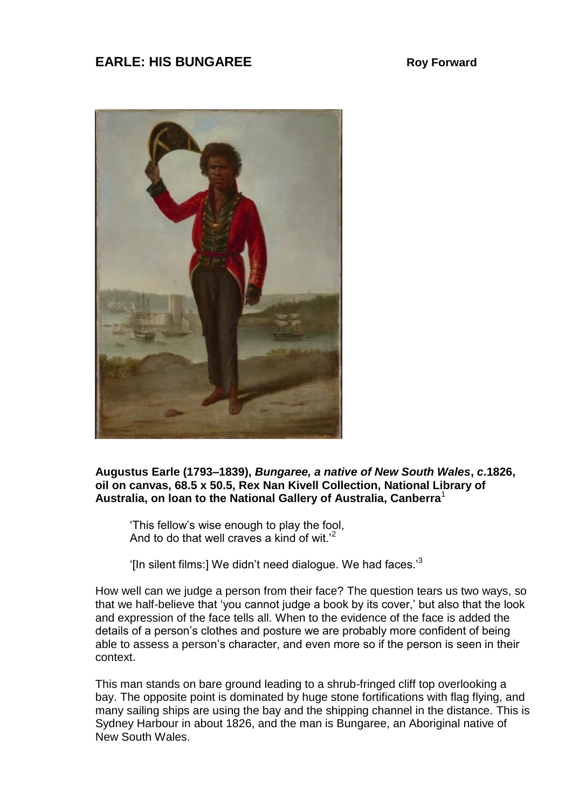## **EARLE: HIS BUNGAREE** Roy Forward



**Augustus Earle (1793–1839),** *Bungaree, a native of New South Wales***,** *c***.1826, oil on canvas, 68.5 x 50.5, Rex Nan Kivell Collection, National Library of Australia, on loan to the National Gallery of Australia, Canberra**<sup>1</sup>

'This fellow's wise enough to play the fool, And to do that well craves a kind of wit.'<sup>2</sup>

'[In silent films:] We didn't need dialogue. We had faces. $3$ 

How well can we judge a person from their face? The question tears us two ways, so that we half-believe that 'you cannot judge a book by its cover,' but also that the look and expression of the face tells all. When to the evidence of the face is added the details of a person's clothes and posture we are probably more confident of being able to assess a person's character, and even more so if the person is seen in their context.

This man stands on bare ground leading to a shrub-fringed cliff top overlooking a bay. The opposite point is dominated by huge stone fortifications with flag flying, and many sailing ships are using the bay and the shipping channel in the distance. This is Sydney Harbour in about 1826, and the man is Bungaree, an Aboriginal native of New South Wales.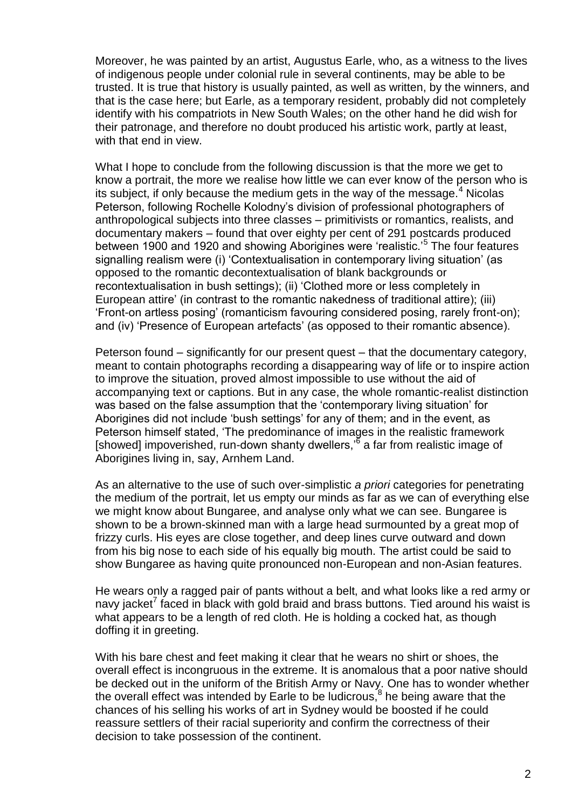Moreover, he was painted by an artist, Augustus Earle, who, as a witness to the lives of indigenous people under colonial rule in several continents, may be able to be trusted. It is true that history is usually painted, as well as written, by the winners, and that is the case here; but Earle, as a temporary resident, probably did not completely identify with his compatriots in New South Wales; on the other hand he did wish for their patronage, and therefore no doubt produced his artistic work, partly at least, with that end in view.

What I hope to conclude from the following discussion is that the more we get to know a portrait, the more we realise how little we can ever know of the person who is its subject, if only because the medium gets in the way of the message. $4$  Nicolas Peterson, following Rochelle Kolodny's division of professional photographers of anthropological subjects into three classes – primitivists or romantics, realists, and documentary makers – found that over eighty per cent of 291 postcards produced between 1900 and 1920 and showing Aborigines were 'realistic.'<sup>5</sup> The four features signalling realism were (i) 'Contextualisation in contemporary living situation' (as opposed to the romantic decontextualisation of blank backgrounds or recontextualisation in bush settings); (ii) 'Clothed more or less completely in European attire' (in contrast to the romantic nakedness of traditional attire); (iii) 'Front-on artless posing' (romanticism favouring considered posing, rarely front-on); and (iv) 'Presence of European artefacts' (as opposed to their romantic absence).

Peterson found – significantly for our present quest – that the documentary category, meant to contain photographs recording a disappearing way of life or to inspire action to improve the situation, proved almost impossible to use without the aid of accompanying text or captions. But in any case, the whole romantic-realist distinction was based on the false assumption that the 'contemporary living situation' for Aborigines did not include 'bush settings' for any of them; and in the event, as Peterson himself stated, 'The predominance of images in the realistic framework [showed] impoverished, run-down shanty dwellers,'<sup>6</sup> a far from realistic image of Aborigines living in, say, Arnhem Land.

As an alternative to the use of such over-simplistic *a priori* categories for penetrating the medium of the portrait, let us empty our minds as far as we can of everything else we might know about Bungaree, and analyse only what we can see. Bungaree is shown to be a brown-skinned man with a large head surmounted by a great mop of frizzy curls. His eyes are close together, and deep lines curve outward and down from his big nose to each side of his equally big mouth. The artist could be said to show Bungaree as having quite pronounced non-European and non-Asian features.

He wears only a ragged pair of pants without a belt, and what looks like a red army or navy jacket<sup>7</sup> faced in black with gold braid and brass buttons. Tied around his waist is what appears to be a length of red cloth. He is holding a cocked hat, as though doffing it in greeting.

With his bare chest and feet making it clear that he wears no shirt or shoes, the overall effect is incongruous in the extreme. It is anomalous that a poor native should be decked out in the uniform of the British Army or Navy. One has to wonder whether the overall effect was intended by Earle to be ludicrous,<sup>8</sup> he being aware that the chances of his selling his works of art in Sydney would be boosted if he could reassure settlers of their racial superiority and confirm the correctness of their decision to take possession of the continent.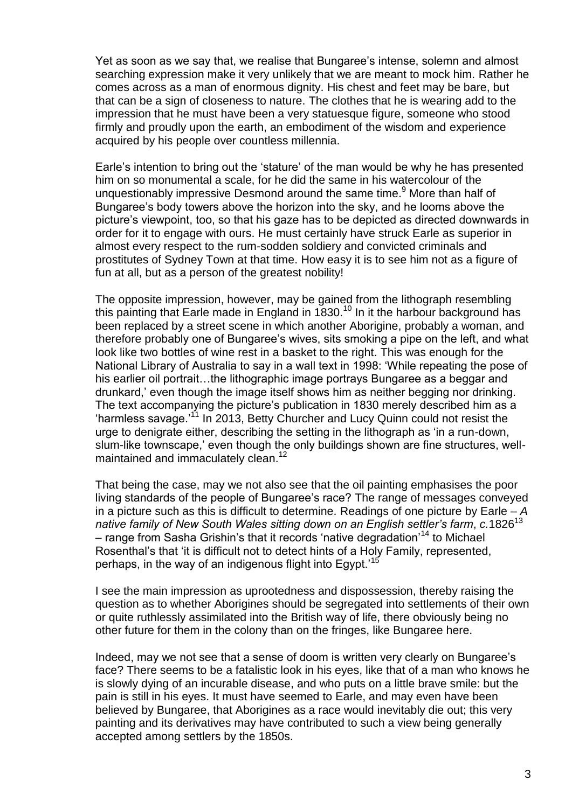Yet as soon as we say that, we realise that Bungaree's intense, solemn and almost searching expression make it very unlikely that we are meant to mock him. Rather he comes across as a man of enormous dignity. His chest and feet may be bare, but that can be a sign of closeness to nature. The clothes that he is wearing add to the impression that he must have been a very statuesque figure, someone who stood firmly and proudly upon the earth, an embodiment of the wisdom and experience acquired by his people over countless millennia.

Earle's intention to bring out the 'stature' of the man would be why he has presented him on so monumental a scale, for he did the same in his watercolour of the unquestionably impressive Desmond around the same time.<sup>9</sup> More than half of Bungaree's body towers above the horizon into the sky, and he looms above the picture's viewpoint, too, so that his gaze has to be depicted as directed downwards in order for it to engage with ours. He must certainly have struck Earle as superior in almost every respect to the rum-sodden soldiery and convicted criminals and prostitutes of Sydney Town at that time. How easy it is to see him not as a figure of fun at all, but as a person of the greatest nobility!

The opposite impression, however, may be gained from the lithograph resembling this painting that Earle made in England in  $1830$ .<sup>10</sup> In it the harbour background has been replaced by a street scene in which another Aborigine, probably a woman, and therefore probably one of Bungaree's wives, sits smoking a pipe on the left, and what look like two bottles of wine rest in a basket to the right. This was enough for the National Library of Australia to say in a wall text in 1998: 'While repeating the pose of his earlier oil portrait…the lithographic image portrays Bungaree as a beggar and drunkard,' even though the image itself shows him as neither begging nor drinking. The text accompanying the picture's publication in 1830 merely described him as a 'harmless savage.' <sup>11</sup> In 2013, Betty Churcher and Lucy Quinn could not resist the urge to denigrate either, describing the setting in the lithograph as 'in a run-down, slum-like townscape,' even though the only buildings shown are fine structures, wellmaintained and immaculately clean.<sup>12</sup>

That being the case, may we not also see that the oil painting emphasises the poor living standards of the people of Bungaree's race? The range of messages conveyed in a picture such as this is difficult to determine. Readings of one picture by Earle – *A native family of New South Wales sitting down on an English settler's farm*, *c.*1826<sup>13</sup> – range from Sasha Grishin's that it records 'native degradation'<sup>14</sup> to Michael Rosenthal's that 'it is difficult not to detect hints of a Holy Family, represented, perhaps, in the way of an indigenous flight into Egypt.'<sup>15</sup>

I see the main impression as uprootedness and dispossession, thereby raising the question as to whether Aborigines should be segregated into settlements of their own or quite ruthlessly assimilated into the British way of life, there obviously being no other future for them in the colony than on the fringes, like Bungaree here.

Indeed, may we not see that a sense of doom is written very clearly on Bungaree's face? There seems to be a fatalistic look in his eyes, like that of a man who knows he is slowly dying of an incurable disease, and who puts on a little brave smile: but the pain is still in his eyes. It must have seemed to Earle, and may even have been believed by Bungaree, that Aborigines as a race would inevitably die out; this very painting and its derivatives may have contributed to such a view being generally accepted among settlers by the 1850s.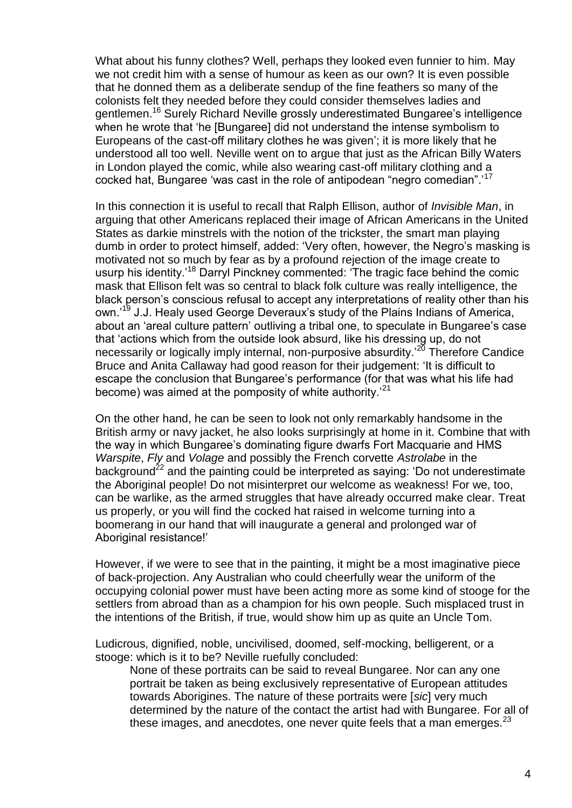What about his funny clothes? Well, perhaps they looked even funnier to him. May we not credit him with a sense of humour as keen as our own? It is even possible that he donned them as a deliberate sendup of the fine feathers so many of the colonists felt they needed before they could consider themselves ladies and gentlemen.<sup>16</sup> Surely Richard Neville grossly underestimated Bungaree's intelligence when he wrote that 'he [Bungaree] did not understand the intense symbolism to Europeans of the cast-off military clothes he was given'; it is more likely that he understood all too well. Neville went on to argue that just as the African Billy Waters in London played the comic, while also wearing cast-off military clothing and a cocked hat, Bungaree 'was cast in the role of antipodean "negro comedian".'<sup>17</sup>

In this connection it is useful to recall that Ralph Ellison, author of *Invisible Man*, in arguing that other Americans replaced their image of African Americans in the United States as darkie minstrels with the notion of the trickster, the smart man playing dumb in order to protect himself, added: 'Very often, however, the Negro's masking is motivated not so much by fear as by a profound rejection of the image create to usurp his identity.<sup>'18</sup> Darryl Pinckney commented: 'The tragic face behind the comic mask that Ellison felt was so central to black folk culture was really intelligence, the black person's conscious refusal to accept any interpretations of reality other than his own.<sup>'19</sup> J.J. Healy used George Deveraux's study of the Plains Indians of America, about an 'areal culture pattern' outliving a tribal one, to speculate in Bungaree's case that 'actions which from the outside look absurd, like his dressing up, do not necessarily or logically imply internal, non-purposive absurdity.<sup>20</sup> Therefore Candice Bruce and Anita Callaway had good reason for their judgement: 'It is difficult to escape the conclusion that Bungaree's performance (for that was what his life had become) was aimed at the pomposity of white authority.<sup>21</sup>

On the other hand, he can be seen to look not only remarkably handsome in the British army or navy jacket, he also looks surprisingly at home in it. Combine that with the way in which Bungaree's dominating figure dwarfs Fort Macquarie and HMS *Warspite*, *Fly* and *Volage* and possibly the French corvette *Astrolabe* in the background<sup>22</sup> and the painting could be interpreted as saying: 'Do not underestimate the Aboriginal people! Do not misinterpret our welcome as weakness! For we, too, can be warlike, as the armed struggles that have already occurred make clear. Treat us properly, or you will find the cocked hat raised in welcome turning into a boomerang in our hand that will inaugurate a general and prolonged war of Aboriginal resistance!'

However, if we were to see that in the painting, it might be a most imaginative piece of back-projection. Any Australian who could cheerfully wear the uniform of the occupying colonial power must have been acting more as some kind of stooge for the settlers from abroad than as a champion for his own people. Such misplaced trust in the intentions of the British, if true, would show him up as quite an Uncle Tom.

Ludicrous, dignified, noble, uncivilised, doomed, self-mocking, belligerent, or a stooge: which is it to be? Neville ruefully concluded:

None of these portraits can be said to reveal Bungaree. Nor can any one portrait be taken as being exclusively representative of European attitudes towards Aborigines. The nature of these portraits were [*sic*] very much determined by the nature of the contact the artist had with Bungaree. For all of these images, and anecdotes, one never quite feels that a man emerges.<sup>23</sup>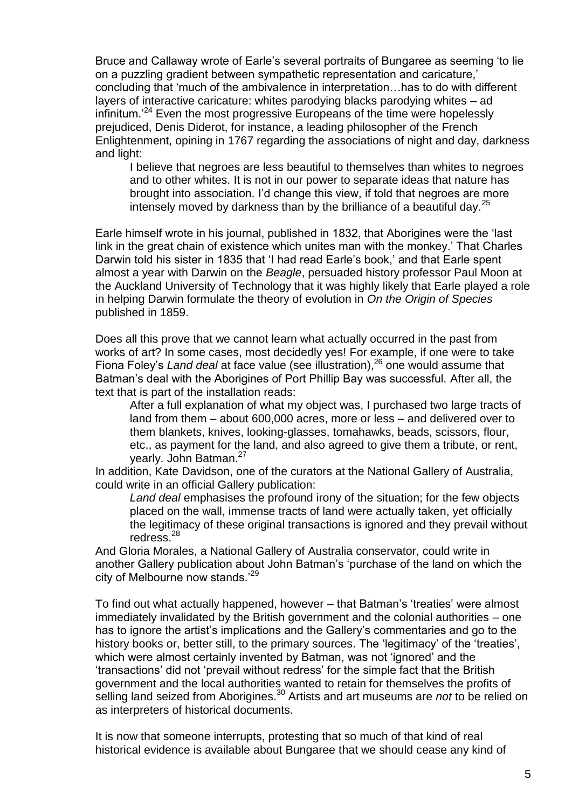Bruce and Callaway wrote of Earle's several portraits of Bungaree as seeming 'to lie on a puzzling gradient between sympathetic representation and caricature,' concluding that 'much of the ambivalence in interpretation…has to do with different layers of interactive caricature: whites parodying blacks parodying whites – ad infinitum.<sup>24</sup> Even the most progressive Europeans of the time were hopelessly prejudiced, Denis Diderot, for instance, a leading philosopher of the French Enlightenment, opining in 1767 regarding the associations of night and day, darkness and light:

I believe that negroes are less beautiful to themselves than whites to negroes and to other whites. It is not in our power to separate ideas that nature has brought into association. I'd change this view, if told that negroes are more intensely moved by darkness than by the brilliance of a beautiful day.<sup>25</sup>

Earle himself wrote in his journal, published in 1832, that Aborigines were the 'last link in the great chain of existence which unites man with the monkey.' That Charles Darwin told his sister in 1835 that 'I had read Earle's book,' and that Earle spent almost a year with Darwin on the *Beagle*, persuaded history professor Paul Moon at the Auckland University of Technology that it was highly likely that Earle played a role in helping Darwin formulate the theory of evolution in *On the Origin of Species* published in 1859.

Does all this prove that we cannot learn what actually occurred in the past from works of art? In some cases, most decidedly yes! For example, if one were to take Fiona Foley's *Land deal* at face value (see illustration),<sup>26</sup> one would assume that Batman's deal with the Aborigines of Port Phillip Bay was successful. After all, the text that is part of the installation reads:

After a full explanation of what my object was, I purchased two large tracts of land from them – about 600,000 acres, more or less – and delivered over to them blankets, knives, looking-glasses, tomahawks, beads, scissors, flour, etc., as payment for the land, and also agreed to give them a tribute, or rent, yearly. John Batman.<sup>27</sup>

In addition, Kate Davidson, one of the curators at the National Gallery of Australia, could write in an official Gallery publication:

*Land deal* emphasises the profound irony of the situation; for the few objects placed on the wall, immense tracts of land were actually taken, yet officially the legitimacy of these original transactions is ignored and they prevail without redress.<sup>28</sup>

And Gloria Morales, a National Gallery of Australia conservator, could write in another Gallery publication about John Batman's 'purchase of the land on which the city of Melbourne now stands.'<sup>29</sup>

To find out what actually happened, however – that Batman's 'treaties' were almost immediately invalidated by the British government and the colonial authorities – one has to ignore the artist's implications and the Gallery's commentaries and go to the history books or, better still, to the primary sources. The 'legitimacy' of the 'treaties', which were almost certainly invented by Batman, was not 'ignored' and the 'transactions' did not 'prevail without redress' for the simple fact that the British government and the local authorities wanted to retain for themselves the profits of selling land seized from Aborigines.<sup>30</sup> Artists and art museums are *not* to be relied on as interpreters of historical documents.

It is now that someone interrupts, protesting that so much of that kind of real historical evidence is available about Bungaree that we should cease any kind of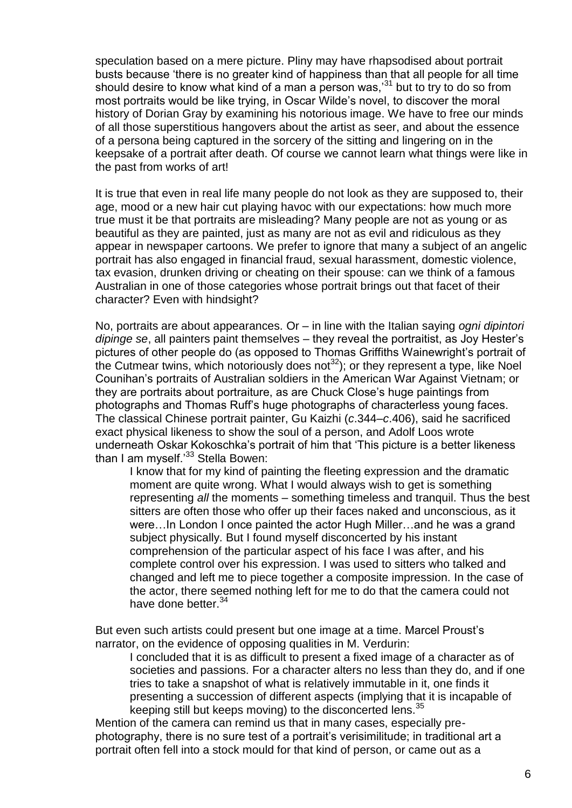speculation based on a mere picture. Pliny may have rhapsodised about portrait busts because 'there is no greater kind of happiness than that all people for all time should desire to know what kind of a man a person was,<sup>31</sup> but to try to do so from most portraits would be like trying, in Oscar Wilde's novel, to discover the moral history of Dorian Gray by examining his notorious image. We have to free our minds of all those superstitious hangovers about the artist as seer, and about the essence of a persona being captured in the sorcery of the sitting and lingering on in the keepsake of a portrait after death. Of course we cannot learn what things were like in the past from works of art!

It is true that even in real life many people do not look as they are supposed to, their age, mood or a new hair cut playing havoc with our expectations: how much more true must it be that portraits are misleading? Many people are not as young or as beautiful as they are painted, just as many are not as evil and ridiculous as they appear in newspaper cartoons. We prefer to ignore that many a subject of an angelic portrait has also engaged in financial fraud, sexual harassment, domestic violence, tax evasion, drunken driving or cheating on their spouse: can we think of a famous Australian in one of those categories whose portrait brings out that facet of their character? Even with hindsight?

No, portraits are about appearances. Or – in line with the Italian saying *ogni dipintori dipinge se*, all painters paint themselves – they reveal the portraitist, as Joy Hester's pictures of other people do (as opposed to Thomas Griffiths Wainewright's portrait of the Cutmear twins, which notoriously does not $^{32}$ ); or they represent a type, like Noel Counihan's portraits of Australian soldiers in the American War Against Vietnam; or they are portraits about portraiture, as are Chuck Close's huge paintings from photographs and Thomas Ruff's huge photographs of characterless young faces. The classical Chinese portrait painter, Gu Kaizhi (*c*.344–*c*.406), said he sacrificed exact physical likeness to show the soul of a person, and Adolf Loos wrote underneath Oskar Kokoschka's portrait of him that 'This picture is a better likeness than I am myself.<sup>'33</sup> Stella Bowen:

I know that for my kind of painting the fleeting expression and the dramatic moment are quite wrong. What I would always wish to get is something representing *all* the moments – something timeless and tranquil. Thus the best sitters are often those who offer up their faces naked and unconscious, as it were…In London I once painted the actor Hugh Miller…and he was a grand subject physically. But I found myself disconcerted by his instant comprehension of the particular aspect of his face I was after, and his complete control over his expression. I was used to sitters who talked and changed and left me to piece together a composite impression. In the case of the actor, there seemed nothing left for me to do that the camera could not have done better.<sup>34</sup>

But even such artists could present but one image at a time. Marcel Proust's narrator, on the evidence of opposing qualities in M. Verdurin:

I concluded that it is as difficult to present a fixed image of a character as of societies and passions. For a character alters no less than they do, and if one tries to take a snapshot of what is relatively immutable in it, one finds it presenting a succession of different aspects (implying that it is incapable of keeping still but keeps moving) to the disconcerted lens.<sup>35</sup>

Mention of the camera can remind us that in many cases, especially prephotography, there is no sure test of a portrait's verisimilitude; in traditional art a portrait often fell into a stock mould for that kind of person, or came out as a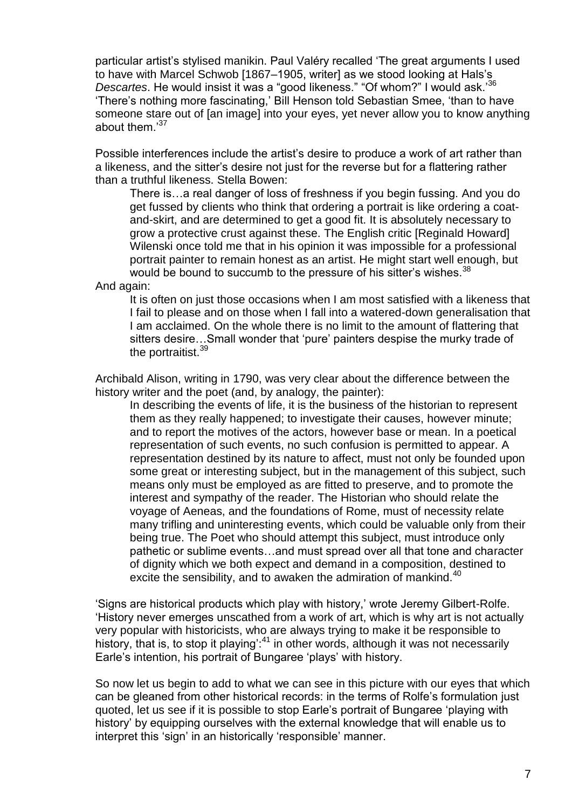particular artist's stylised manikin. Paul Valéry recalled 'The great arguments I used to have with Marcel Schwob [1867–1905, writer] as we stood looking at Hals's *Descartes*. He would insist it was a "good likeness." "Of whom?" I would ask.'<sup>36</sup> 'There's nothing more fascinating,' Bill Henson told Sebastian Smee, 'than to have someone stare out of [an image] into your eyes, yet never allow you to know anything about them.<sup>37</sup>

Possible interferences include the artist's desire to produce a work of art rather than a likeness, and the sitter's desire not just for the reverse but for a flattering rather than a truthful likeness. Stella Bowen:

There is…a real danger of loss of freshness if you begin fussing. And you do get fussed by clients who think that ordering a portrait is like ordering a coatand-skirt, and are determined to get a good fit. It is absolutely necessary to grow a protective crust against these. The English critic [Reginald Howard] Wilenski once told me that in his opinion it was impossible for a professional portrait painter to remain honest as an artist. He might start well enough, but would be bound to succumb to the pressure of his sitter's wishes.<sup>38</sup>

And again:

It is often on just those occasions when I am most satisfied with a likeness that I fail to please and on those when I fall into a watered-down generalisation that I am acclaimed. On the whole there is no limit to the amount of flattering that sitters desire…Small wonder that 'pure' painters despise the murky trade of the portraitist.<sup>39</sup>

Archibald Alison, writing in 1790, was very clear about the difference between the history writer and the poet (and, by analogy, the painter):

In describing the events of life, it is the business of the historian to represent them as they really happened; to investigate their causes, however minute; and to report the motives of the actors, however base or mean. In a poetical representation of such events, no such confusion is permitted to appear. A representation destined by its nature to affect, must not only be founded upon some great or interesting subject, but in the management of this subject, such means only must be employed as are fitted to preserve, and to promote the interest and sympathy of the reader. The Historian who should relate the voyage of Aeneas, and the foundations of Rome, must of necessity relate many trifling and uninteresting events, which could be valuable only from their being true. The Poet who should attempt this subject, must introduce only pathetic or sublime events…and must spread over all that tone and character of dignity which we both expect and demand in a composition, destined to excite the sensibility, and to awaken the admiration of mankind.<sup>40</sup>

'Signs are historical products which play with history,' wrote Jeremy Gilbert-Rolfe. 'History never emerges unscathed from a work of art, which is why art is not actually very popular with historicists, who are always trying to make it be responsible to history, that is, to stop it playing<sup>-41</sup> in other words, although it was not necessarily Earle's intention, his portrait of Bungaree 'plays' with history.

So now let us begin to add to what we can see in this picture with our eyes that which can be gleaned from other historical records: in the terms of Rolfe's formulation just quoted, let us see if it is possible to stop Earle's portrait of Bungaree 'playing with history' by equipping ourselves with the external knowledge that will enable us to interpret this 'sign' in an historically 'responsible' manner.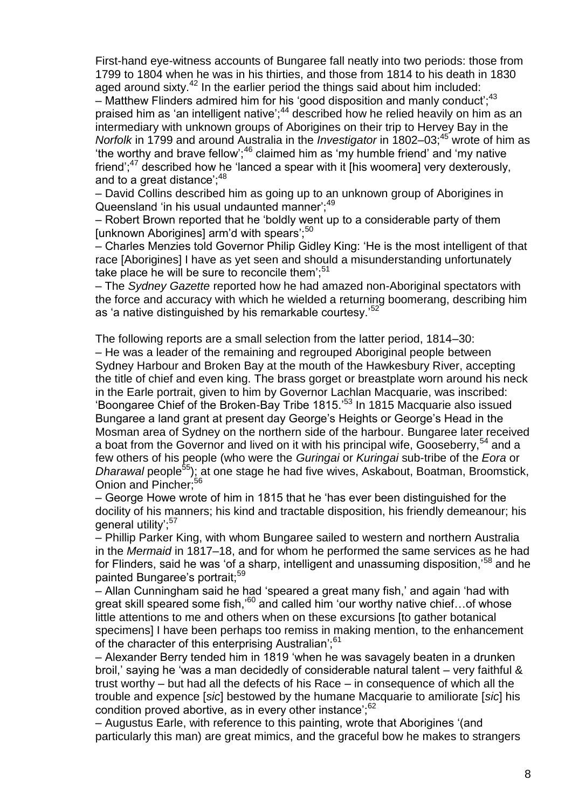First-hand eye-witness accounts of Bungaree fall neatly into two periods: those from 1799 to 1804 when he was in his thirties, and those from 1814 to his death in 1830 aged around sixty. $42$  In the earlier period the things said about him included: – Matthew Flinders admired him for his 'good disposition and manly conduct';  $43$ praised him as 'an intelligent native';<sup>44</sup> described how he relied heavily on him as an intermediary with unknown groups of Aborigines on their trip to Hervey Bay in the *Norfolk* in 1799 and around Australia in the *Investigator* in 1802–03;<sup>45</sup> wrote of him as 'the worthy and brave fellow';<sup>46</sup> claimed him as 'my humble friend' and 'my native friend"; $47$  described how he 'lanced a spear with it [his woomera] very dexterously, and to a great distance';  $48$ 

– David Collins described him as going up to an unknown group of Aborigines in Queensland 'in his usual undaunted manner';<sup>49</sup>

– Robert Brown reported that he 'boldly went up to a considerable party of them [unknown Aborigines] arm'd with spears':<sup>50</sup>

– Charles Menzies told Governor Philip Gidley King: 'He is the most intelligent of that race [Aborigines] I have as yet seen and should a misunderstanding unfortunately take place he will be sure to reconcile them'; $51$ 

– The *Sydney Gazette* reported how he had amazed non-Aboriginal spectators with the force and accuracy with which he wielded a returning boomerang, describing him as 'a native distinguished by his remarkable courtesy.<sup>52</sup>

The following reports are a small selection from the latter period, 1814–30: – He was a leader of the remaining and regrouped Aboriginal people between Sydney Harbour and Broken Bay at the mouth of the Hawkesbury River, accepting the title of chief and even king. The brass gorget or breastplate worn around his neck in the Earle portrait, given to him by Governor Lachlan Macquarie, was inscribed: 'Boongaree Chief of the Broken-Bay Tribe 1815.'<sup>53</sup> In 1815 Macquarie also issued Bungaree a land grant at present day George's Heights or George's Head in the Mosman area of Sydney on the northern side of the harbour. Bungaree later received a boat from the Governor and lived on it with his principal wife, Gooseberry,<sup>54</sup> and a few others of his people (who were the *Guringai* or *Kuringai* sub-tribe of the *Eora* or *Dharawal* people<sup>55</sup>); at one stage he had five wives, Askabout, Boatman, Broomstick, Onion and Pincher:<sup>56</sup>

– George Howe wrote of him in 1815 that he 'has ever been distinguished for the docility of his manners; his kind and tractable disposition, his friendly demeanour; his general utility';<sup>57</sup>

– Phillip Parker King, with whom Bungaree sailed to western and northern Australia in the *Mermaid* in 1817–18, and for whom he performed the same services as he had for Flinders, said he was 'of a sharp, intelligent and unassuming disposition.<sup>58</sup> and he painted Bungaree's portrait:<sup>59</sup>

– Allan Cunningham said he had 'speared a great many fish,' and again 'had with great skill speared some fish,<sup>'60</sup> and called him 'our worthy native chief...of whose little attentions to me and others when on these excursions [to gather botanical specimens] I have been perhaps too remiss in making mention, to the enhancement of the character of this enterprising Australian';<sup>61</sup>

– Alexander Berry tended him in 1819 'when he was savagely beaten in a drunken broil,' saying he 'was a man decidedly of considerable natural talent – very faithful & trust worthy – but had all the defects of his Race – in consequence of which all the trouble and expence [*sic*] bestowed by the humane Macquarie to amiliorate [*sic*] his condition proved abortive, as in every other instance'; $62$ 

– Augustus Earle, with reference to this painting, wrote that Aborigines '(and particularly this man) are great mimics, and the graceful bow he makes to strangers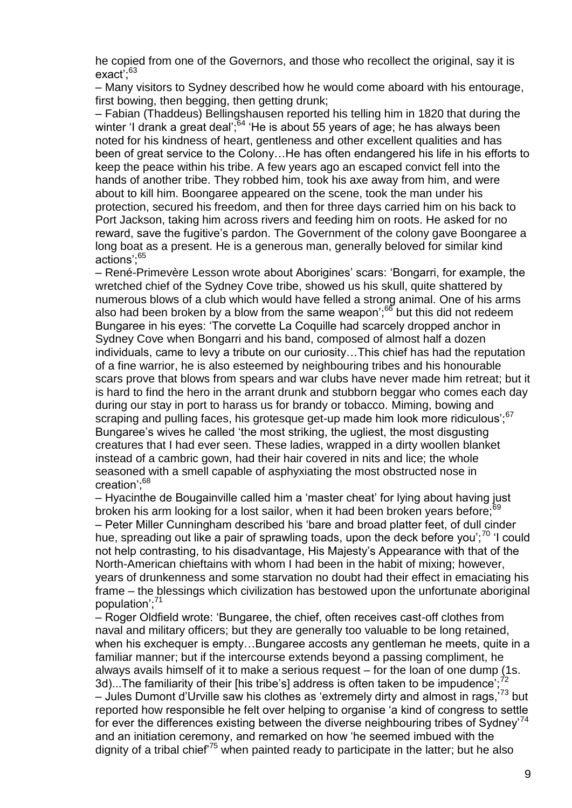he copied from one of the Governors, and those who recollect the original, say it is exact<sup>; 63</sup>

– Many visitors to Sydney described how he would come aboard with his entourage, first bowing, then begging, then getting drunk;

– Fabian (Thaddeus) Bellingshausen reported his telling him in 1820 that during the winter 'I drank a great deal';<sup>64</sup> 'He is about 55 years of age; he has always been noted for his kindness of heart, gentleness and other excellent qualities and has been of great service to the Colony…He has often endangered his life in his efforts to keep the peace within his tribe. A few years ago an escaped convict fell into the hands of another tribe. They robbed him, took his axe away from him, and were about to kill him. Boongaree appeared on the scene, took the man under his protection, secured his freedom, and then for three days carried him on his back to Port Jackson, taking him across rivers and feeding him on roots. He asked for no reward, save the fugitive's pardon. The Government of the colony gave Boongaree a long boat as a present. He is a generous man, generally beloved for similar kind actions';<sup>65</sup>

– René-Primevère Lesson wrote about Aborigines' scars: 'Bongarri, for example, the wretched chief of the Sydney Cove tribe, showed us his skull, quite shattered by numerous blows of a club which would have felled a strong animal. One of his arms also had been broken by a blow from the same weapon<sup>'; $66$ </sup> but this did not redeem Bungaree in his eyes: 'The corvette La Coquille had scarcely dropped anchor in Sydney Cove when Bongarri and his band, composed of almost half a dozen individuals, came to levy a tribute on our curiosity…This chief has had the reputation of a fine warrior, he is also esteemed by neighbouring tribes and his honourable scars prove that blows from spears and war clubs have never made him retreat; but it is hard to find the hero in the arrant drunk and stubborn beggar who comes each day during our stay in port to harass us for brandy or tobacco. Miming, bowing and scraping and pulling faces, his grotesque get-up made him look more ridiculous';<sup>67</sup> Bungaree's wives he called 'the most striking, the ugliest, the most disgusting creatures that I had ever seen. These ladies, wrapped in a dirty woollen blanket instead of a cambric gown, had their hair covered in nits and lice; the whole seasoned with a smell capable of asphyxiating the most obstructed nose in creation';<sup>68</sup>

– Hyacinthe de Bougainville called him a 'master cheat' for lying about having just broken his arm looking for a lost sailor, when it had been broken years before;<sup>69</sup> – Peter Miller Cunningham described his 'bare and broad platter feet, of dull cinder hue, spreading out like a pair of sprawling toads, upon the deck before you';<sup>70</sup> 'I could not help contrasting, to his disadvantage, His Majesty's Appearance with that of the North-American chieftains with whom I had been in the habit of mixing; however, years of drunkenness and some starvation no doubt had their effect in emaciating his frame – the blessings which civilization has bestowed upon the unfortunate aboriginal population'; $^{\prime}$ <sup>1</sup>

– Roger Oldfield wrote: 'Bungaree, the chief, often receives cast-off clothes from naval and military officers; but they are generally too valuable to be long retained, when his exchequer is empty…Bungaree accosts any gentleman he meets, quite in a familiar manner; but if the intercourse extends beyond a passing compliment, he always avails himself of it to make a serious request – for the loan of one dump (1s. 3d)...The familiarity of their [his tribe's] address is often taken to be impudence';<sup>72</sup> – Jules Dumont d'Urville saw his clothes as 'extremely dirty and almost in rags.'<sup>73</sup> but reported how responsible he felt over helping to organise 'a kind of congress to settle for ever the differences existing between the diverse neighbouring tribes of Sydney<sup>74</sup> and an initiation ceremony, and remarked on how 'he seemed imbued with the dignity of a tribal chief<sup>75</sup> when painted ready to participate in the latter; but he also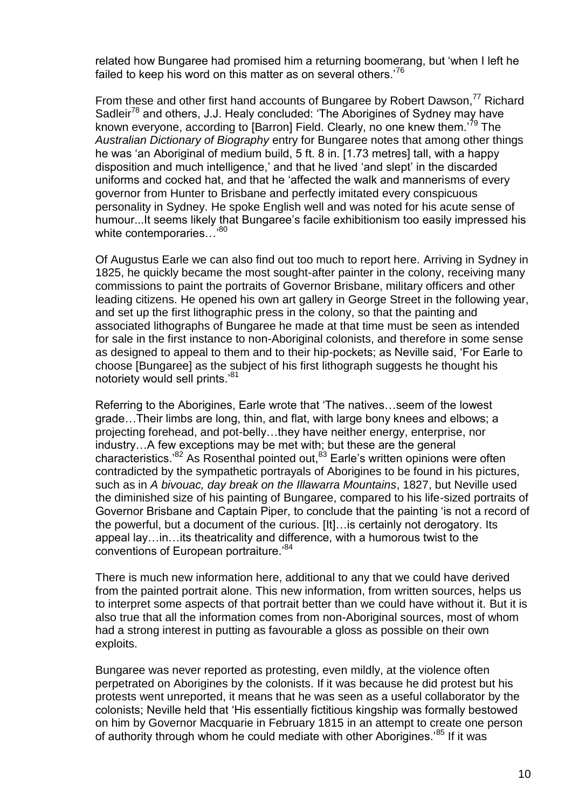related how Bungaree had promised him a returning boomerang, but 'when I left he failed to keep his word on this matter as on several others.<sup>76</sup>

From these and other first hand accounts of Bungaree by Robert Dawson, $^{77}$  Richard Sadleir<sup>78</sup> and others, J.J. Healy concluded: 'The Aborigines of Sydney may have known everyone, according to [Barron] Field. Clearly, no one knew them.'<sup>79</sup> The *Australian Dictionary of Biography* entry for Bungaree notes that among other things he was 'an Aboriginal of medium build, 5 ft. 8 in. [1.73 metres] tall, with a happy disposition and much intelligence,' and that he lived 'and slept' in the discarded uniforms and cocked hat, and that he 'affected the walk and mannerisms of every governor from Hunter to Brisbane and perfectly imitated every conspicuous personality in Sydney. He spoke English well and was noted for his acute sense of humour...It seems likely that Bungaree's facile exhibitionism too easily impressed his white contemporaries...<sup>80</sup>

Of Augustus Earle we can also find out too much to report here. Arriving in Sydney in 1825, he quickly became the most sought-after painter in the colony, receiving many commissions to paint the portraits of Governor Brisbane, military officers and other leading citizens. He opened his own art gallery in George Street in the following year, and set up the first lithographic press in the colony, so that the painting and associated lithographs of Bungaree he made at that time must be seen as intended for sale in the first instance to non-Aboriginal colonists, and therefore in some sense as designed to appeal to them and to their hip-pockets; as Neville said, 'For Earle to choose [Bungaree] as the subject of his first lithograph suggests he thought his notoriety would sell prints.<sup>81</sup>

Referring to the Aborigines, Earle wrote that 'The natives…seem of the lowest grade…Their limbs are long, thin, and flat, with large bony knees and elbows; a projecting forehead, and pot-belly…they have neither energy, enterprise, nor industry…A few exceptions may be met with; but these are the general characteristics.<sup>82</sup> As Rosenthal pointed out,  $83$  Earle's written opinions were often contradicted by the sympathetic portrayals of Aborigines to be found in his pictures, such as in *A bivouac, day break on the Illawarra Mountains*, 1827, but Neville used the diminished size of his painting of Bungaree, compared to his life-sized portraits of Governor Brisbane and Captain Piper, to conclude that the painting 'is not a record of the powerful, but a document of the curious. [It]…is certainly not derogatory. Its appeal lay…in…its theatricality and difference, with a humorous twist to the conventions of European portraiture.<sup>84</sup>

There is much new information here, additional to any that we could have derived from the painted portrait alone. This new information, from written sources, helps us to interpret some aspects of that portrait better than we could have without it. But it is also true that all the information comes from non-Aboriginal sources, most of whom had a strong interest in putting as favourable a gloss as possible on their own exploits.

Bungaree was never reported as protesting, even mildly, at the violence often perpetrated on Aborigines by the colonists. If it was because he did protest but his protests went unreported, it means that he was seen as a useful collaborator by the colonists; Neville held that 'His essentially fictitious kingship was formally bestowed on him by Governor Macquarie in February 1815 in an attempt to create one person of authority through whom he could mediate with other Aborigines.<sup>85</sup> If it was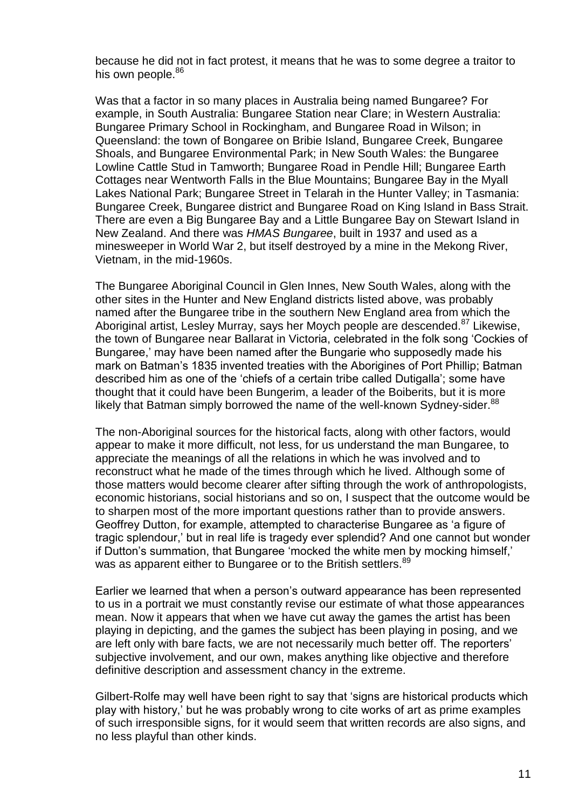because he did not in fact protest, it means that he was to some degree a traitor to his own people.<sup>86</sup>

Was that a factor in so many places in Australia being named Bungaree? For example, in South Australia: Bungaree Station near Clare; in Western Australia: Bungaree Primary School in Rockingham, and Bungaree Road in Wilson; in Queensland: the town of Bongaree on Bribie Island, Bungaree Creek, Bungaree Shoals, and Bungaree Environmental Park; in New South Wales: the Bungaree Lowline Cattle Stud in Tamworth; Bungaree Road in Pendle Hill; Bungaree Earth Cottages near Wentworth Falls in the Blue Mountains; Bungaree Bay in the Myall Lakes National Park; Bungaree Street in Telarah in the Hunter Valley; in Tasmania: Bungaree Creek, Bungaree district and Bungaree Road on King Island in Bass Strait. There are even a Big Bungaree Bay and a Little Bungaree Bay on Stewart Island in New Zealand. And there was *HMAS Bungaree*, built in 1937 and used as a minesweeper in World War 2, but itself destroyed by a mine in the Mekong River, Vietnam, in the mid-1960s.

The Bungaree Aboriginal Council in Glen Innes, New South Wales, along with the other sites in the Hunter and New England districts listed above, was probably named after the Bungaree tribe in the southern New England area from which the Aboriginal artist, Lesley Murray, says her Moych people are descended.<sup>87</sup> Likewise, the town of Bungaree near Ballarat in Victoria, celebrated in the folk song 'Cockies of Bungaree,' may have been named after the Bungarie who supposedly made his mark on Batman's 1835 invented treaties with the Aborigines of Port Phillip; Batman described him as one of the 'chiefs of a certain tribe called Dutigalla'; some have thought that it could have been Bungerim, a leader of the Boiberits, but it is more likely that Batman simply borrowed the name of the well-known Sydney-sider.<sup>88</sup>

The non-Aboriginal sources for the historical facts, along with other factors, would appear to make it more difficult, not less, for us understand the man Bungaree, to appreciate the meanings of all the relations in which he was involved and to reconstruct what he made of the times through which he lived. Although some of those matters would become clearer after sifting through the work of anthropologists, economic historians, social historians and so on, I suspect that the outcome would be to sharpen most of the more important questions rather than to provide answers. Geoffrey Dutton, for example, attempted to characterise Bungaree as 'a figure of tragic splendour,' but in real life is tragedy ever splendid? And one cannot but wonder if Dutton's summation, that Bungaree 'mocked the white men by mocking himself,' was as apparent either to Bungaree or to the British settlers.<sup>89</sup>

Earlier we learned that when a person's outward appearance has been represented to us in a portrait we must constantly revise our estimate of what those appearances mean. Now it appears that when we have cut away the games the artist has been playing in depicting, and the games the subject has been playing in posing, and we are left only with bare facts, we are not necessarily much better off. The reporters' subjective involvement, and our own, makes anything like objective and therefore definitive description and assessment chancy in the extreme.

Gilbert-Rolfe may well have been right to say that 'signs are historical products which play with history,' but he was probably wrong to cite works of art as prime examples of such irresponsible signs, for it would seem that written records are also signs, and no less playful than other kinds.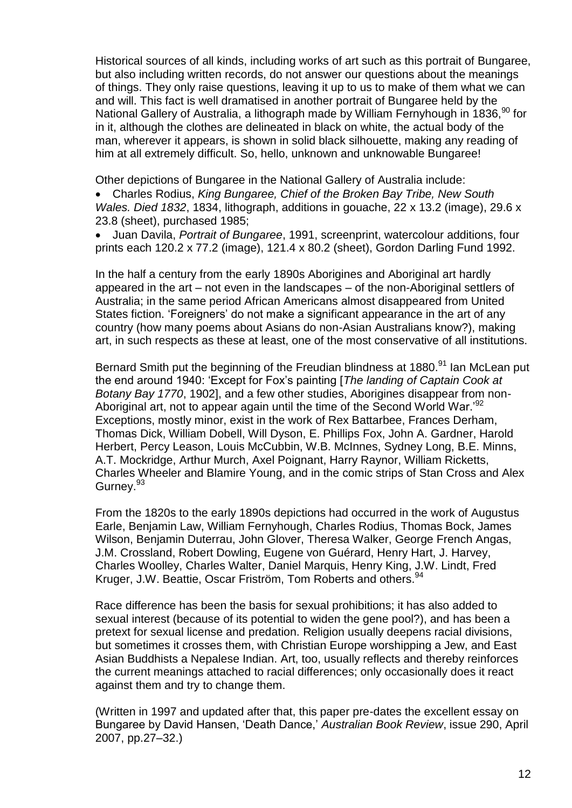Historical sources of all kinds, including works of art such as this portrait of Bungaree, but also including written records, do not answer our questions about the meanings of things. They only raise questions, leaving it up to us to make of them what we can and will. This fact is well dramatised in another portrait of Bungaree held by the National Gallery of Australia, a lithograph made by William Fernyhough in 1836,<sup>90</sup> for in it, although the clothes are delineated in black on white, the actual body of the man, wherever it appears, is shown in solid black silhouette, making any reading of him at all extremely difficult. So, hello, unknown and unknowable Bungaree!

Other depictions of Bungaree in the National Gallery of Australia include:

 Charles Rodius, *King Bungaree, Chief of the Broken Bay Tribe, New South Wales. Died 1832*, 1834, lithograph, additions in gouache, 22 x 13.2 (image), 29.6 x 23.8 (sheet), purchased 1985;

 Juan Davila, *Portrait of Bungaree*, 1991, screenprint, watercolour additions, four prints each 120.2 x 77.2 (image), 121.4 x 80.2 (sheet), Gordon Darling Fund 1992.

In the half a century from the early 1890s Aborigines and Aboriginal art hardly appeared in the art – not even in the landscapes – of the non-Aboriginal settlers of Australia; in the same period African Americans almost disappeared from United States fiction. 'Foreigners' do not make a significant appearance in the art of any country (how many poems about Asians do non-Asian Australians know?), making art, in such respects as these at least, one of the most conservative of all institutions.

Bernard Smith put the beginning of the Freudian blindness at 1880.<sup>91</sup> Ian McLean put the end around 1940: 'Except for Fox's painting [*The landing of Captain Cook at Botany Bay 1770*, 1902], and a few other studies, Aborigines disappear from non-Aboriginal art, not to appear again until the time of the Second World War.<sup>'92</sup> Exceptions, mostly minor, exist in the work of Rex Battarbee, Frances Derham, Thomas Dick, William Dobell, Will Dyson, E. Phillips Fox, John A. Gardner, Harold Herbert, Percy Leason, Louis McCubbin, W.B. McInnes, Sydney Long, B.E. Minns, A.T. Mockridge, Arthur Murch, Axel Poignant, Harry Raynor, William Ricketts, Charles Wheeler and Blamire Young, and in the comic strips of Stan Cross and Alex Gurney.<sup>93</sup>

From the 1820s to the early 1890s depictions had occurred in the work of Augustus Earle, Benjamin Law, William Fernyhough, Charles Rodius, Thomas Bock, James Wilson, Benjamin Duterrau, John Glover, Theresa Walker, George French Angas, J.M. Crossland, Robert Dowling, Eugene von Guérard, Henry Hart, J. Harvey, Charles Woolley, Charles Walter, Daniel Marquis, Henry King, J.W. Lindt, Fred Kruger, J.W. Beattie, Oscar Friström, Tom Roberts and others.<sup>94</sup>

Race difference has been the basis for sexual prohibitions; it has also added to sexual interest (because of its potential to widen the gene pool?), and has been a pretext for sexual license and predation. Religion usually deepens racial divisions, but sometimes it crosses them, with Christian Europe worshipping a Jew, and East Asian Buddhists a Nepalese Indian. Art, too, usually reflects and thereby reinforces the current meanings attached to racial differences; only occasionally does it react against them and try to change them.

(Written in 1997 and updated after that, this paper pre-dates the excellent essay on Bungaree by David Hansen, 'Death Dance,' *Australian Book Review*, issue 290, April 2007, pp.27–32.)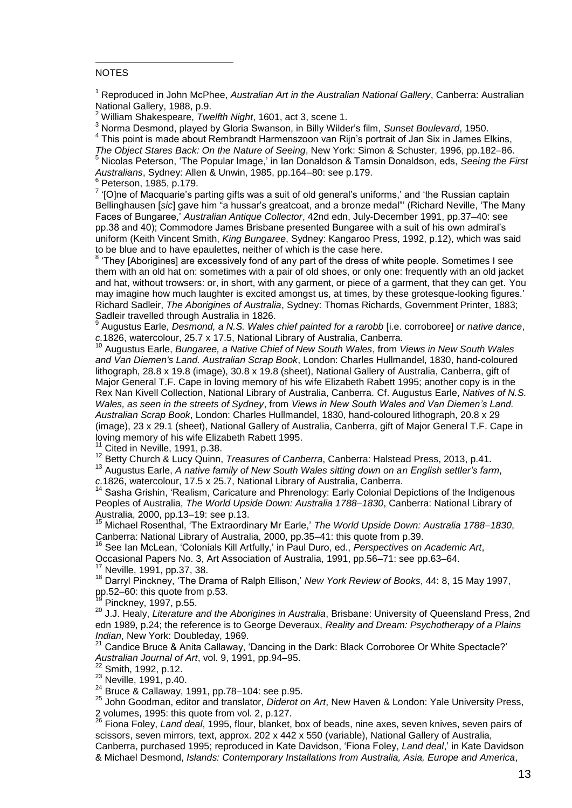## $\overline{a}$ **NOTES**

<sup>1</sup> Reproduced in John McPhee, *Australian Art in the Australian National Gallery*, Canberra: Australian National Gallery, 1988, p.9.

<sup>2</sup> William Shakespeare, *Twelfth Night*, 1601, act 3, scene 1.

<sup>3</sup> Norma Desmond, played by Gloria Swanson, in Billy Wilder's film, *Sunset Boulevard*, 1950.

 $^{\rm 4}$  This point is made about Rembrandt Harmenszoon van Rijn's portrait of Jan Six in James Elkins, *The Object Stares Back: On the Nature of Seeing*, New York: Simon & Schuster, 1996, pp.182–86.

<sup>5</sup> Nicolas Peterson, 'The Popular Image,' in Ian Donaldson & Tamsin Donaldson, eds, *Seeing the First Australians*, Sydney: Allen & Unwin, 1985, pp.164–80: see p.179. 6 Peterson, 1985, p.179.

 $^7$  '[O]ne of Macquarie's parting gifts was a suit of old general's uniforms,' and 'the Russian captain Bellinghausen [*sic*] gave him "a hussar's greatcoat, and a bronze medal"' (Richard Neville, 'The Many Faces of Bungaree,' *Australian Antique Collector*, 42nd edn, July-December 1991, pp.37–40: see pp.38 and 40); Commodore James Brisbane presented Bungaree with a suit of his own admiral's uniform (Keith Vincent Smith, *King Bungaree*, Sydney: Kangaroo Press, 1992, p.12), which was said to be blue and to have epaulettes, neither of which is the case here.

8 'They [Aborigines] are excessively fond of any part of the dress of white people. Sometimes I see them with an old hat on: sometimes with a pair of old shoes, or only one: frequently with an old jacket and hat, without trowsers: or, in short, with any garment, or piece of a garment, that they can get. You may imagine how much laughter is excited amongst us, at times, by these grotesque-looking figures.' Richard Sadleir, *The Aborigines of Australia*, Sydney: Thomas Richards, Government Printer, 1883; Sadleir travelled through Australia in 1826.

9 Augustus Earle, *Desmond, a N.S. Wales chief painted for a rarobb* [i.e. corroboree] *or native dance*, *c.*1826, watercolour, 25.7 x 17.5, National Library of Australia, Canberra.

<sup>10</sup> Augustus Earle, *Bungaree, a Native Chief of New South Wales*, from *Views in New South Wales and Van Diemen's Land. Australian Scrap Book*, London: Charles Hullmandel, 1830, hand-coloured lithograph, 28.8 x 19.8 (image), 30.8 x 19.8 (sheet), National Gallery of Australia, Canberra, gift of Major General T.F. Cape in loving memory of his wife Elizabeth Rabett 1995; another copy is in the Rex Nan Kivell Collection, National Library of Australia, Canberra. Cf. Augustus Earle, *Natives of N.S. Wales, as seen in the streets of Sydney*, from *Views in New South Wales and Van Diemen's Land. Australian Scrap Book*, London: Charles Hullmandel, 1830, hand-coloured lithograph, 20.8 x 29 (image), 23 x 29.1 (sheet), National Gallery of Australia, Canberra, gift of Major General T.F. Cape in loving memory of his wife Elizabeth Rabett 1995.

Cited in Neville, 1991, p.38.

<sup>12</sup> Betty Church & Lucy Quinn, *Treasures of Canberra*, Canberra: Halstead Press, 2013, p.41.

<sup>13</sup> Augustus Earle, *A native family of New South Wales sitting down on an English settler's farm*,

*c.*1826, watercolour, 17.5 x 25.7, National Library of Australia, Canberra.

<sup>14</sup> Sasha Grishin, 'Realism, Caricature and Phrenology: Early Colonial Depictions of the Indigenous Peoples of Australia, *The World Upside Down: Australia 1788–1830*, Canberra: National Library of Australia, 2000, pp.13–19: see p.13.<br><sup>15</sup> Michael Posenthal, The Futu

<sup>15</sup> Michael Rosenthal, 'The Extraordinary Mr Earle,' *The World Upside Down: Australia 1788–1830*, Canberra: National Library of Australia, 2000, pp.35–41: this quote from p.39.

<sup>16</sup> See Ian McLean, 'Colonials Kill Artfully,' in Paul Duro, ed., *Perspectives on Academic Art*, Occasional Papers No. 3, Art Association of Australia, 1991, pp.56–71: see pp.63–64.

<sup>17</sup> Neville, 1991, pp.37, 38.

<sup>18</sup> Darryl Pinckney, 'The Drama of Ralph Ellison,' *New York Review of Books*, 44: 8, 15 May 1997, pp.52–60: this quote from p.53.

Pinckney, 1997, p.55.

<sup>20</sup> J.J. Healy, *Literature and the Aborigines in Australia*, Brisbane: University of Queensland Press, 2nd edn 1989, p.24; the reference is to George Deveraux, *Reality and Dream: Psychotherapy of a Plains Indian*, New York: Doubleday, 1969.

<sup>21</sup> Candice Bruce & Anita Callaway, 'Dancing in the Dark: Black Corroboree Or White Spectacle?' *Australian Journal of Art*, vol. 9, 1991, pp.94–95.

 $22$  Smith, 1992, p.12.

<sup>23</sup> Neville, 1991, p.40.

 $24$  Bruce & Callaway, 1991, pp.78-104: see p.95.

<sup>25</sup> John Goodman, editor and translator, *Diderot on Art*, New Haven & London: Yale University Press, 2 volumes, 1995: this quote from vol. 2, p.127.

<sup>26</sup> Fiona Foley, *Land deal*, 1995, flour, blanket, box of beads, nine axes, seven knives, seven pairs of scissors, seven mirrors, text, approx. 202 x 442 x 550 (variable), National Gallery of Australia, Canberra, purchased 1995; reproduced in Kate Davidson, 'Fiona Foley, *Land deal*,' in Kate Davidson & Michael Desmond, *Islands: Contemporary Installations from Australia, Asia, Europe and America*,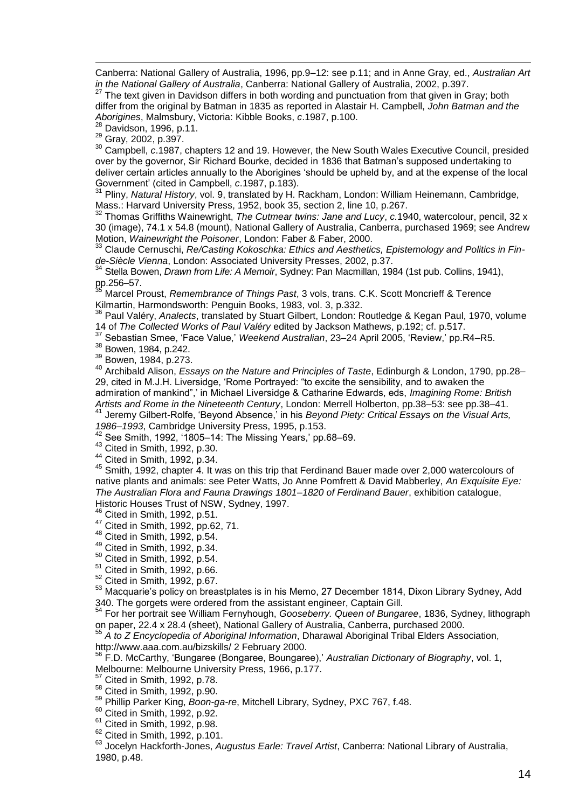$\overline{a}$ Canberra: National Gallery of Australia, 1996, pp.9–12: see p.11; and in Anne Gray, ed., *Australian Art in the National Gallery of Australia*, Canberra: National Gallery of Australia, 2002, p.397.<br><sup>27</sup> The text diven in Devidence differential and in the same of Australia, 2002, p.397.

The text given in Davidson differs in both wording and punctuation from that given in Gray; both differ from the original by Batman in 1835 as reported in Alastair H. Campbell, *John Batman and the Aborigines*, Malmsbury, Victoria: Kibble Books, *c*.1987, p.100.

Davidson, 1996, p.11.

<sup>29</sup> Gray, 2002, p.397.

<sup>30</sup> Campbell, *c*.1987, chapters 12 and 19. However, the New South Wales Executive Council, presided over by the governor, Sir Richard Bourke, decided in 1836 that Batman's supposed undertaking to deliver certain articles annually to the Aborigines 'should be upheld by, and at the expense of the local Government' (cited in Campbell, *c*.1987, p.183).

<sup>31</sup> Pliny, *Natural History*, vol. 9, translated by H. Rackham, London: William Heinemann, Cambridge, Mass.: Harvard University Press, 1952, book 35, section 2, line 10, p.267.

<sup>32</sup> Thomas Griffiths Wainewright, *The Cutmear twins: Jane and Lucy*, *c.*1940, watercolour, pencil, 32 x 30 (image), 74.1 x 54.8 (mount), National Gallery of Australia, Canberra, purchased 1969; see Andrew Motion, *Wainewright the Poisoner*, London: Faber & Faber, 2000.

<sup>33</sup> Claude Cernuschi, Re/Casting Kokoschka: Ethics and Aesthetics, Epistemology and Politics in Fin*de-Siècle Vienna*, London: Associated University Presses, 2002, p.37.

<sup>34</sup> Stella Bowen, *Drawn from Life: A Memoir*, Sydney: Pan Macmillan, 1984 (1st pub. Collins, 1941), pp.256–57.

<sup>35</sup> Marcel Proust, *Remembrance of Things Past*, 3 vols, trans. C.K. Scott Moncrieff & Terence Kilmartin, Harmondsworth: Penguin Books, 1983, vol. 3, p.332.

<sup>36</sup> Paul Valéry, *Analects*, translated by Stuart Gilbert, London: Routledge & Kegan Paul, 1970, volume 14 of *The Collected Works of Paul Valéry* edited by Jackson Mathews, p.192; cf. p.517.

<sup>37</sup> Sebastian Smee, 'Face Value,' *Weekend Australian*, 23–24 April 2005, 'Review,' pp.R4–R5.

<sup>38</sup> Bowen, 1984, p.242.

<sup>39</sup> Bowen, 1984, p.273.

<sup>40</sup> Archibald Alison, *Essays on the Nature and Principles of Taste*, Edinburgh & London, 1790, pp.28– 29, cited in M.J.H. Liversidge, 'Rome Portrayed: "to excite the sensibility, and to awaken the admiration of mankind",' in Michael Liversidge & Catharine Edwards, eds, *Imagining Rome: British Artists and Rome in the Nineteenth Century*, London: Merrell Holberton, pp.38–53: see pp.38–41.

<sup>41</sup> Jeremy Gilbert-Rolfe, 'Beyond Absence,' in his *Beyond Piety: Critical Essays on the Visual Arts, 1986–1993*, Cambridge University Press, 1995, p.153.

<sup>42</sup> See Smith, 1992, '1805–14: The Missing Years,' pp.68–69.

<sup>43</sup> Cited in Smith, 1992, p.30.

<sup>44</sup> Cited in Smith, 1992, p.34.

<sup>45</sup> Smith, 1992, chapter 4. It was on this trip that Ferdinand Bauer made over 2,000 watercolours of native plants and animals: see Peter Watts, Jo Anne Pomfrett & David Mabberley, *An Exquisite Eye: The Australian Flora and Fauna Drawings 1801–1820 of Ferdinand Bauer*, exhibition catalogue, Historic Houses Trust of NSW, Sydney, 1997.

Cited in Smith, 1992, p.51.

- <sup>47</sup> Cited in Smith, 1992, pp.62, 71.
- <sup>48</sup> Cited in Smith, 1992, p.54.
- <sup>49</sup> Cited in Smith, 1992, p.34.
- $50$  Cited in Smith, 1992, p.54.
- <sup>51</sup> Cited in Smith, 1992, p.66.
- <sup>52</sup> Cited in Smith, 1992, p.67.

53 Macquarie's policy on breastplates is in his Memo, 27 December 1814, Dixon Library Sydney, Add 340. The gorgets were ordered from the assistant engineer, Captain Gill.

<sup>54</sup> For her portrait see William Fernyhough, *Gooseberry. Queen of Bungaree*, 1836, Sydney, lithograph on paper, 22.4 x 28.4 (sheet), National Gallery of Australia, Canberra, purchased 2000.

<sup>55</sup> *A to Z Encyclopedia of Aboriginal Information*, Dharawal Aboriginal Tribal Elders Association, http://www.aaa.com.au/bizskills/ 2 February 2000.

<sup>56</sup> F.D. McCarthy, 'Bungaree (Bongaree, Boungaree),' *Australian Dictionary of Biography*, vol. 1, Melbourne: Melbourne University Press, 1966, p.177.

<sup>57</sup> Cited in Smith, 1992, p.78.

<sup>58</sup> Cited in Smith, 1992, p.90.

<sup>59</sup> Phillip Parker King, *Boon-ga-re*, Mitchell Library, Sydney, PXC 767, f.48.

Cited in Smith, 1992, p.92.

 $61$  Cited in Smith, 1992, p.98.

 $62$  Cited in Smith, 1992, p.101.

<sup>63</sup> Jocelyn Hackforth-Jones, *Augustus Earle: Travel Artist*, Canberra: National Library of Australia, 1980, p.48.